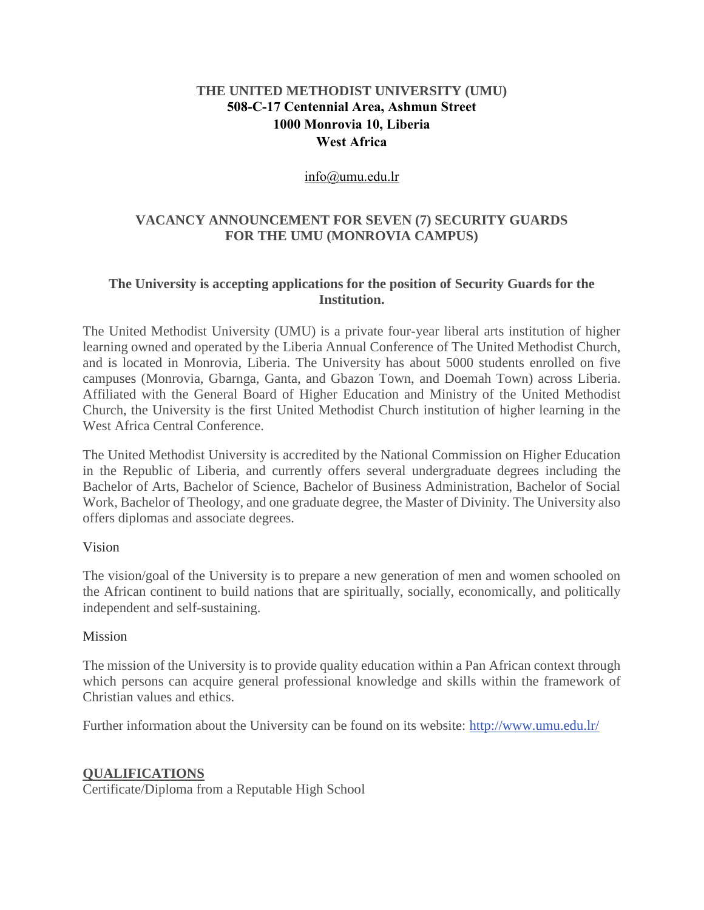# **THE UNITED METHODIST UNIVERSITY (UMU) 508-C-17 Centennial Area, Ashmun Street 1000 Monrovia 10, Liberia West Africa**

#### [info@umu.edu.lr](mailto:info@umu.edu.lr)

### **VACANCY ANNOUNCEMENT FOR SEVEN (7) SECURITY GUARDS FOR THE UMU (MONROVIA CAMPUS)**

## **The University is accepting applications for the position of Security Guards for the Institution.**

The United Methodist University (UMU) is a private four-year liberal arts institution of higher learning owned and operated by the Liberia Annual Conference of The United Methodist Church, and is located in Monrovia, Liberia. The University has about 5000 students enrolled on five campuses (Monrovia, Gbarnga, Ganta, and Gbazon Town, and Doemah Town) across Liberia. Affiliated with the General Board of Higher Education and Ministry of the United Methodist Church, the University is the first United Methodist Church institution of higher learning in the West Africa Central Conference.

The United Methodist University is accredited by the National Commission on Higher Education in the Republic of Liberia, and currently offers several undergraduate degrees including the Bachelor of Arts, Bachelor of Science, Bachelor of Business Administration, Bachelor of Social Work, Bachelor of Theology, and one graduate degree, the Master of Divinity. The University also offers diplomas and associate degrees.

#### Vision

The vision/goal of the University is to prepare a new generation of men and women schooled on the African continent to build nations that are spiritually, socially, economically, and politically independent and self-sustaining.

#### Mission

The mission of the University is to provide quality education within a Pan African context through which persons can acquire general professional knowledge and skills within the framework of Christian values and ethics.

Further information about the University can be found on its website: [http://www.umu.edu.lr/](about:blank)

# **QUALIFICATIONS**

Certificate/Diploma from a Reputable High School